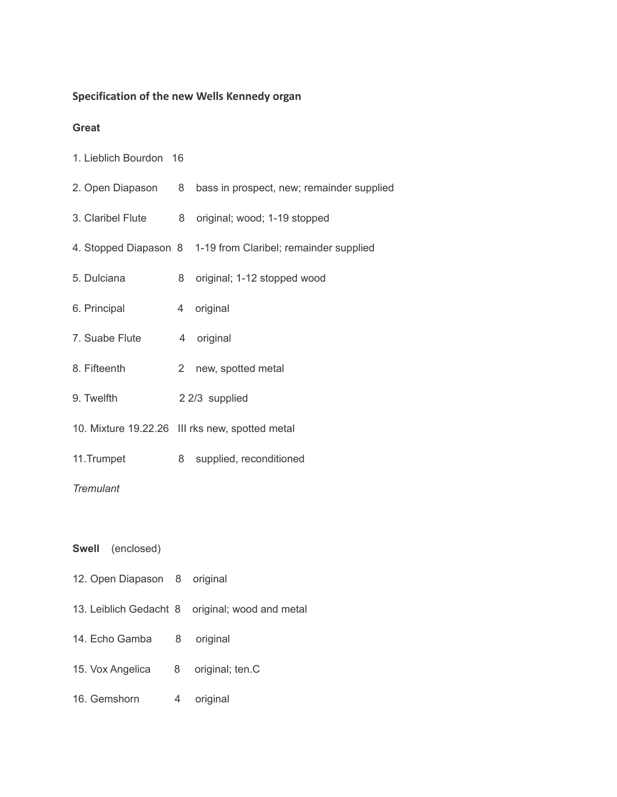# **Specification of the new Wells Kennedy organ**

#### **Great**

1. Lieblich Bourdon 16

| 2. Open Diapason           | 8           | bass in prospect, new; remainder supplied                    |  |  |
|----------------------------|-------------|--------------------------------------------------------------|--|--|
| 3. Claribel Flute          | 8           | original; wood; 1-19 stopped                                 |  |  |
|                            |             | 4. Stopped Diapason 8 1-19 from Claribel; remainder supplied |  |  |
| 5. Dulciana                | 8           | original; 1-12 stopped wood                                  |  |  |
| 6. Principal               | 4           | original                                                     |  |  |
| 7. Suabe Flute             | 4           | original                                                     |  |  |
| 8. Fifteenth               | $2^{\circ}$ | new, spotted metal                                           |  |  |
| 9. Twelfth                 |             | 2 2/3 supplied                                               |  |  |
|                            |             | 10. Mixture 19.22.26 III rks new, spotted metal              |  |  |
| 11.Trumpet                 | 8           | supplied, reconditioned                                      |  |  |
| <b>Tremulant</b>           |             |                                                              |  |  |
|                            |             |                                                              |  |  |
| <b>Swell</b><br>(enclosed) |             |                                                              |  |  |
| 12. Open Diapason          | 8           | original                                                     |  |  |

- 13. Leiblich Gedacht 8 original; wood and metal
- 14. Echo Gamba 8 original
- 15. Vox Angelica 8 original; ten.C
- 16. Gemshorn 4 original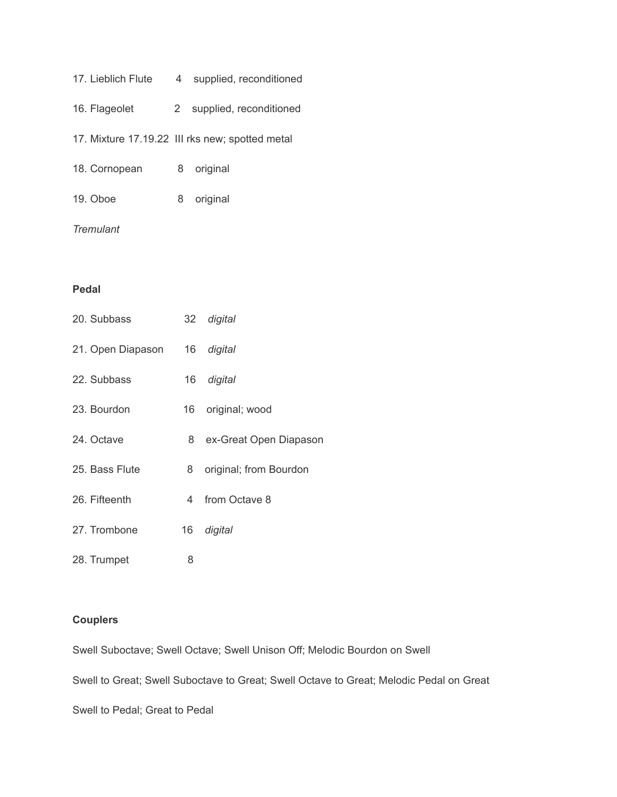| 17. Lieblich Flute | 4     | supplied, reconditioned                         |
|--------------------|-------|-------------------------------------------------|
| 16. Flageolet      | $2 -$ | supplied, reconditioned                         |
|                    |       | 17. Mixture 17.19.22 III rks new; spotted metal |
| 18. Cornopean      | 8     | original                                        |
| 19. Oboe           | 8     | original                                        |
|                    |       |                                                 |

### *Tremulant*

### **Pedal**

| 20. Subbass       |      | 32 digital             |
|-------------------|------|------------------------|
| 21. Open Diapason | 16   | digital                |
| 22. Subbass       | 16   | digital                |
| 23. Bourdon       | 16 - | original; wood         |
| 24. Octave        | 8    | ex-Great Open Diapason |
| 25. Bass Flute    | 8    | original; from Bourdon |
| 26. Fifteenth     | 4    | from Octave 8          |
| 27. Trombone      | 16   | digital                |
| 28. Trumpet       | 8    |                        |

## **Couplers**

Swell Suboctave; Swell Octave; Swell Unison Off; Melodic Bourdon on Swell

Swell to Great; Swell Suboctave to Great; Swell Octave to Great; Melodic Pedal on Great

Swell to Pedal; Great to Pedal